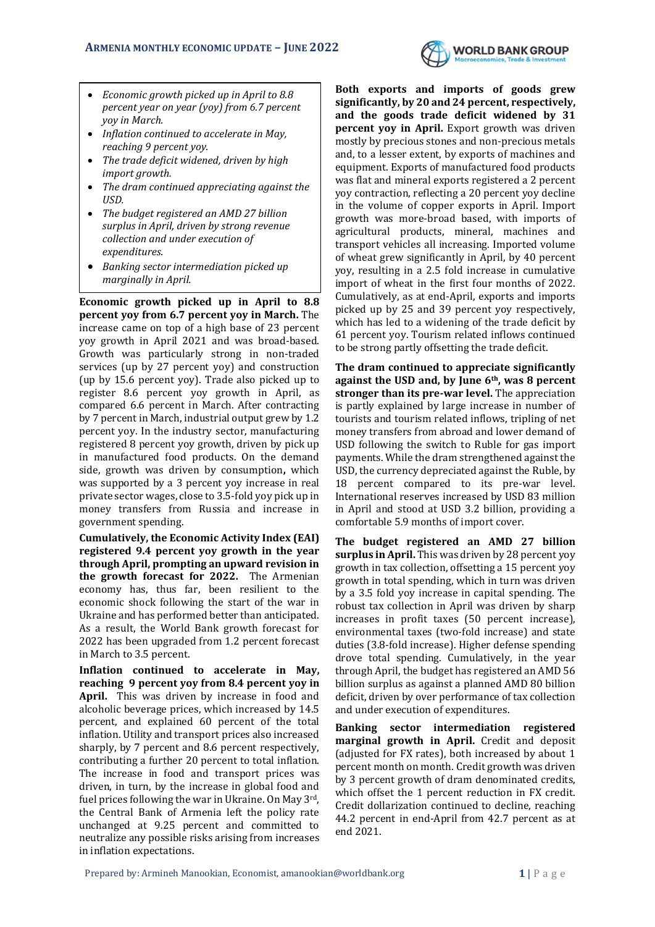

- *Economic growth picked up in April to 8.8 percent year on year (yoy) from 6.7 percent yoy in March.*
- *Inflation continued to accelerate in May, reaching 9 percent yoy.*
- *The trade deficit widened, driven by high import growth.*
- *The dram continued appreciating against the USD.*
- *The budget registered an AMD 27 billion surplus in April, driven by strong revenue collection and under execution of expenditures.*
- *Banking sector intermediation picked up marginally in April.*

**Economic growth picked up in April to 8.8 percent yoy from 6.7 percent yoy in March.** The increase came on top of a high base of 23 percent yoy growth in April 2021 and was broad-based. Growth was particularly strong in non-traded services (up by 27 percent yoy) and construction (up by 15.6 percent yoy). Trade also picked up to register 8.6 percent yoy growth in April, as compared 6.6 percent in March. After contracting by 7 percent in March, industrial output grew by 1.2 percent yoy. In the industry sector, manufacturing registered 8 percent yoy growth, driven by pick up in manufactured food products. On the demand side, growth was driven by consumption**,** which was supported by a 3 percent yoy increase in real private sector wages, close to 3.5-fold yoy pick up in money transfers from Russia and increase in government spending.

**Cumulatively, the Economic Activity Index (EAI) registered 9.4 percent yoy growth in the year through April, prompting an upward revision in the growth forecast for 2022.** The Armenian economy has, thus far, been resilient to the economic shock following the start of the war in Ukraine and has performed better than anticipated. As a result, the World Bank growth forecast for 2022 has been upgraded from 1.2 percent forecast in March to 3.5 percent.

**Inflation continued to accelerate in May, reaching 9 percent yoy from 8.4 percent yoy in April.** This was driven by increase in food and alcoholic beverage prices, which increased by 14.5 percent, and explained 60 percent of the total inflation. Utility and transport prices also increased sharply, by 7 percent and 8.6 percent respectively, contributing a further 20 percent to total inflation. The increase in food and transport prices was driven, in turn, by the increase in global food and fuel prices following the war in Ukraine. On May 3rd, the Central Bank of Armenia left the policy rate unchanged at 9.25 percent and committed to neutralize any possible risks arising from increases in inflation expectations.

**Both exports and imports of goods grew significantly, by 20 and 24 percent, respectively, and the goods trade deficit widened by 31 percent yoy in April.** Export growth was driven mostly by precious stones and non-precious metals and, to a lesser extent, by exports of machines and equipment. Exports of manufactured food products was flat and mineral exports registered a 2 percent yoy contraction, reflecting a 20 percent yoy decline in the volume of copper exports in April. Import growth was more-broad based, with imports of agricultural products, mineral, machines and transport vehicles all increasing. Imported volume of wheat grew significantly in April, by 40 percent yoy, resulting in a 2.5 fold increase in cumulative import of wheat in the first four months of 2022. Cumulatively, as at end-April, exports and imports picked up by 25 and 39 percent yoy respectively, which has led to a widening of the trade deficit by 61 percent yoy. Tourism related inflows continued to be strong partly offsetting the trade deficit.

**The dram continued to appreciate significantly against the USD and, by June 6th, was 8 percent stronger than its pre-war level.** The appreciation is partly explained by large increase in number of tourists and tourism related inflows, tripling of net money transfers from abroad and lower demand of USD following the switch to Ruble for gas import payments. While the dram strengthened against the USD, the currency depreciated against the Ruble, by 18 percent compared to its pre-war level. International reserves increased by USD 83 million in April and stood at USD 3.2 billion, providing a comfortable 5.9 months of import cover.

**The budget registered an AMD 27 billion surplus in April.** This was driven by 28 percent yoy growth in tax collection, offsetting a 15 percent yoy growth in total spending, which in turn was driven by a 3.5 fold yoy increase in capital spending. The robust tax collection in April was driven by sharp increases in profit taxes (50 percent increase), environmental taxes (two-fold increase) and state duties (3.8-fold increase). Higher defense spending drove total spending. Cumulatively, in the year through April, the budget has registered an AMD 56 billion surplus as against a planned AMD 80 billion deficit, driven by over performance of tax collection and under execution of expenditures.

**Banking sector intermediation registered marginal growth in April.** Credit and deposit (adjusted for FX rates), both increased by about 1 percent month on month. Credit growth was driven by 3 percent growth of dram denominated credits, which offset the 1 percent reduction in FX credit. Credit dollarization continued to decline, reaching 44.2 percent in end-April from 42.7 percent as at end 2021.